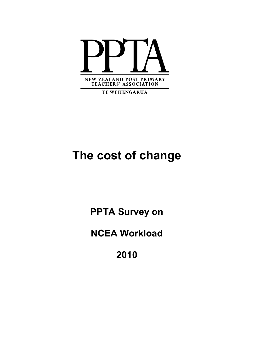

**TE WEHENGARUA** 

# **The cost of change**

**PPTA Survey on** 

**NCEA Workload** 

**2010**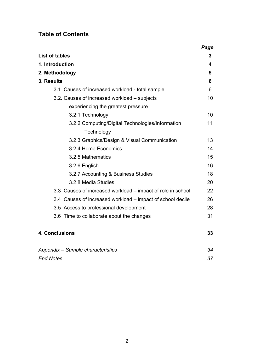# **Table of Contents**

|                                                             | Page |
|-------------------------------------------------------------|------|
| <b>List of tables</b>                                       | 3    |
| 1. Introduction                                             | 4    |
| 2. Methodology                                              | 5    |
| 3. Results                                                  | 6    |
| 3.1 Causes of increased workload - total sample             | 6    |
| 3.2. Causes of increased workload – subjects                | 10   |
| experiencing the greatest pressure                          |      |
| 3.2.1 Technology                                            | 10   |
| 3.2.2 Computing/Digital Technologies/Information            | 11   |
| Technology                                                  |      |
| 3.2.3 Graphics/Design & Visual Communication                | 13   |
| 3.2.4 Home Economics                                        | 14   |
| 3.2.5 Mathematics                                           | 15   |
| 3.2.6 English                                               | 16   |
| 3.2.7 Accounting & Business Studies                         | 18   |
| 3.2.8 Media Studies                                         | 20   |
| 3.3 Causes of increased workload – impact of role in school | 22   |
| 3.4 Causes of increased workload – impact of school decile  | 26   |
| 3.5 Access to professional development                      | 28   |
| 3.6 Time to collaborate about the changes                   | 31   |
| <b>4. Conclusions</b>                                       | 33   |
| Appendix - Sample characteristics                           | 34   |
| <b>End Notes</b>                                            | 37   |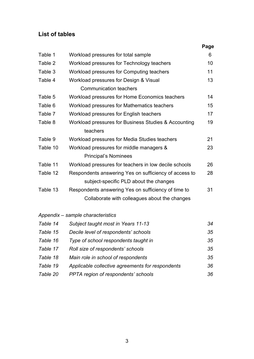# **List of tables**

|                                                       | Page |
|-------------------------------------------------------|------|
| Workload pressures for total sample                   | 6    |
| Workload pressures for Technology teachers            | 10   |
| Workload pressures for Computing teachers             | 11   |
| Workload pressures for Design & Visual                | 13   |
| <b>Communication teachers</b>                         |      |
| Workload pressures for Home Economics teachers        | 14   |
| Workload pressures for Mathematics teachers           | 15   |
| Workload pressures for English teachers               | 17   |
| Workload pressures for Business Studies & Accounting  | 19   |
| teachers                                              |      |
| Workload pressures for Media Studies teachers         | 21   |
| Workload pressures for middle managers &              | 23   |
| <b>Principal's Nominees</b>                           |      |
| Workload pressures for teachers in low decile schools | 26   |
| Respondents answering Yes on sufficiency of access to | 28   |
| subject-specific PLD about the changes                |      |
| Respondents answering Yes on sufficiency of time to   | 31   |
| Collaborate with colleagues about the changes         |      |
|                                                       |      |

# *Appendix – sample characteristics*

| Table 14 | Subject taught most in Years 11-13               | 34 |
|----------|--------------------------------------------------|----|
| Table 15 | Decile level of respondents' schools             | 35 |
| Table 16 | Type of school respondents taught in             | 35 |
| Table 17 | Roll size of respondents' schools                | 35 |
| Table 18 | Main role in school of respondents               | 35 |
| Table 19 | Applicable collective agreements for respondents | 36 |
| Table 20 | PPTA region of respondents' schools              | 36 |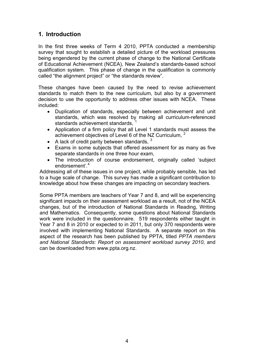# **1. Introduction**

In the first three weeks of Term 4 2010, PPTA conducted a membership survey that sought to establish a detailed picture of the workload pressures being engendered by the current phase of change to the National Certificate of Educational Achievement (NCEA), New Zealand's standards-based school qualification system. This phase of change in the qualification is commonly called "the alignment project" or "the standards review".

These changes have been caused by the need to revise achievement standards to match them to the new curriculum, but also by a government decision to use the opportunity to address other issues with NCEA. These included:

- Duplication of standards, especially between achievement and unit standards, which was resolved by making all curriculum-referenced standards achievement standards, [1](#page-36-0)
- Application of a firm policy that all Level 1 standards must assess the achievement objectives of Level 6 of the NZ Curriculum,  $2^2$  $2^2$
- A lack of credit parity between standards.  $3$
- Exams in some subjects that offered assessment for as many as five separate standards in one three hour exam,
- The introduction of course endorsement, originally called 'subject endorsement'.<sup>[4](#page-36-1)</sup>

Addressing all of these issues in one project, while probably sensible, has led to a huge scale of change. This survey has made a significant contribution to knowledge about how these changes are impacting on secondary teachers.

Some PPTA members are teachers of Year 7 and 8, and will be experiencing significant impacts on their assessment workload as a result, not of the NCEA changes, but of the introduction of National Standards in Reading, Writing and Mathematics. Consequently, some questions about National Standards work were included in the questionnaire. 519 respondents either taught in Year 7 and 8 in 2010 or expected to in 2011, but only 370 respondents were involved with implementing National Standards. A separate report on this aspect of the research has been published by PPTA, titled *PPTA members and National Standards: Report on assessment workload survey 2010*, and can be downloaded from [www.ppta.org.nz](http://www.ppta.org.nz/).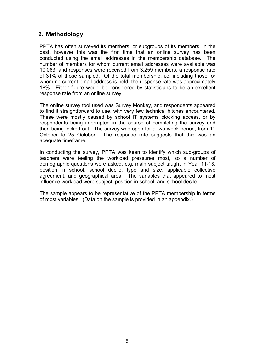### **2. Methodology**

PPTA has often surveyed its members, or subgroups of its members, in the past, however this was the first time that an online survey has been conducted using the email addresses in the membership database. The number of members for whom current email addresses were available was 10,063, and responses were received from 3,259 members, a response rate of 31% of those sampled. Of the total membership, i.e. including those for whom no current email address is held, the response rate was approximately 18%. Either figure would be considered by statisticians to be an excellent response rate from an online survey.

The online survey tool used was Survey Monkey, and respondents appeared to find it straightforward to use, with very few technical hitches encountered. These were mostly caused by school IT systems blocking access, or by respondents being interrupted in the course of completing the survey and then being locked out. The survey was open for a two week period, from 11 October to 25 October. The response rate suggests that this was an adequate timeframe.

In conducting the survey, PPTA was keen to identify which sub-groups of teachers were feeling the workload pressures most, so a number of demographic questions were asked, e.g. main subject taught in Year 11-13, position in school, school decile, type and size, applicable collective agreement, and geographical area. The variables that appeared to most influence workload were subject, position in school, and school decile.

The sample appears to be representative of the PPTA membership in terms of most variables. (Data on the sample is provided in an appendix.)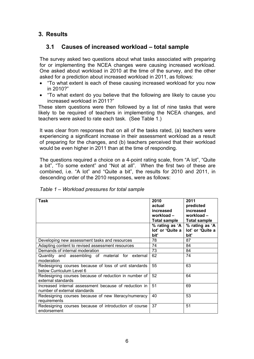# **3. Results**

# **3.1 Causes of increased workload – total sample**

The survey asked two questions about what tasks associated with preparing for or implementing the NCEA changes were causing increased workload. One asked about workload in 2010 at the time of the survey, and the other asked for a prediction about increased workload in 2011, as follows:

- "To what extent is each of these causing increased workload for you now in 2010?"
- "To what extent do you believe that the following are likely to cause you increased workload in 2011?"

These stem questions were then followed by a list of nine tasks that were likely to be required of teachers in implementing the NCEA changes, and teachers were asked to rate each task. (See Table 1.)

It was clear from responses that on all of the tasks rated, (a) teachers were experiencing a significant increase in their assessment workload as a result of preparing for the changes, and (b) teachers perceived that their workload would be even higher in 2011 than at the time of responding.

The questions required a choice on a 4-point rating scale, from "A lot", "Quite a bit", "To some extent" and "Not at all". When the first two of these are combined, i.e. "A lot" and "Quite a bit", the results for 2010 and 2011, in descending order of the 2010 responses, were as follows:

| Task                                                                                  | 2010<br>actual<br>increased<br>workload –<br>Total sample<br>% rating as 'A $\vert$<br>lot' or 'Quite a<br>bit' | 2011<br>predicted<br>increased<br>workload-<br><b>Total sample</b><br>% rating as 'A<br>lot' or 'Quite a<br>bit' |
|---------------------------------------------------------------------------------------|-----------------------------------------------------------------------------------------------------------------|------------------------------------------------------------------------------------------------------------------|
| Developing new assessment tasks and resources                                         | 78                                                                                                              | 87                                                                                                               |
| Adapting content to revised assessment resources                                      | 74                                                                                                              | 84                                                                                                               |
| Demands of internal moderation                                                        | 73                                                                                                              | 84                                                                                                               |
| Quantity and assembling of material for external<br>moderation                        | 62                                                                                                              | 74                                                                                                               |
| Redesigning courses because of loss of unit standards<br>below Curriculum Level 6     | 55                                                                                                              | 63                                                                                                               |
| Redesigning courses because of reduction in number of<br>external standards           | 52                                                                                                              | 64                                                                                                               |
| Increased internal assessment because of reduction in<br>number of external standards | 51                                                                                                              | 69                                                                                                               |
| Redesigning courses because of new literacy/numeracy<br>requirements                  | 40                                                                                                              | 53                                                                                                               |
| Redesigning courses because of introduction of course<br>endorsement                  | 37                                                                                                              | 51                                                                                                               |

*Table 1 – Workload pressures for total sample*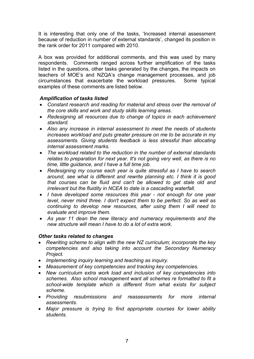It is interesting that only one of the tasks, 'Increased internal assessment because of reduction in number of external standards', changed its position in the rank order for 2011 compared with 2010.

A box was provided for additional comments, and this was used by many respondents. Comments ranged across further amplification of the tasks listed in the questions, other tasks generated by the changes, the impacts on teachers of MOE's and NZQA's change management processes, and job circumstances that exacerbate the workload pressures. Some typical examples of these comments are listed below.

#### *Amplification of tasks listed*

- *Constant research and reading for material and stress over the removal of the core skills and work and study skills learning areas.*
- *Redesigning all resources due to change of topics in each achievement standard.*
- *Also any increase in internal assessment to meet the needs of students increases workload and puts greater pressure on me to be accurate in my assessments. Giving students feedback is less stressful than allocating internal assessment marks.*
- *The workload related to the reduction in the number of external standards relates to preparation for next year. It's not going very well, as there is no time, little guidance, and I have a full time job.*
- *Redesigning my course each year is quite stressful as I have to search around, see what is different and rewrite planning etc. I think it is good that courses can be fluid and can't be allowed to get stale old and irrelevant but the fluidity in NCEA to date is a cascading waterfall.*
- *I have developed some resources this year not enough for one year level, never mind three. I don't expect them to be perfect. So as well as continuing to develop new resources, after using them I will need to evaluate and improve them.*
- *As year 11 dean the new literacy and numeracy requirements and the new structure will mean I have to do a lot of extra work.*

#### *Other tasks related to changes*

- *Rewriting scheme to align with the new NZ curriculum; incorporate the key competencies and also taking into account the Secondary Numeracy Project.*
- *Implementing inquiry learning and teaching as inquiry.*
- *Measurement of key competencies and tracking key competencies.*
- *New curriculum extra work load and inclusion of key competencies into schemes. Also school management want all schemes re formatted to fit a school-wide template which is different from what exists for subject scheme.*
- *Providing resubmissions and reassessments for more internal assessments.*
- *Major pressure is trying to find appropriate courses for lower ability students.*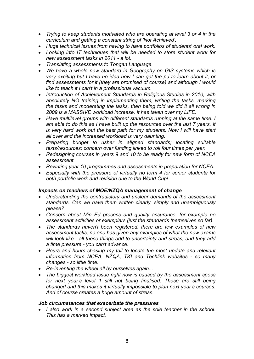- *Trying to keep students motivated who are operating at level 3 or 4 in the curriculum and getting a constant string of 'Not Achieved'.*
- *Huge technical issues from having to have portfolios of students' oral work.*
- *Looking into IT techniques that will be needed to store student work for new assessment tasks in 2011 - a lot.*
- *Translating assessments to Tongan Language.*
- *We have a whole new standard in Geography on GIS systems which is very exciting but I have no idea how I can get the pd to learn about it, or find assessments for it (they are promised of course) and although I would like to teach it I can't in a professional vacuum.*
- *Introduction of Achievement Standards in Religious Studies in 2010, with absolutely NO training in implementing them, writing the tasks, marking the tasks and moderating the tasks, then being told we did it all wrong in 2009 is a MASSIVE workload increase. It has taken over my LIFE.*
- *Have multilevel groups with different standards running at the same time. I am able to do this as I have built up the resources over the last 7 years. It is very hard work but the best path for my students. Now I will have start all over and the increased workload is very daunting.*
- *Preparing budget to usher in aligned standards; locating suitable texts/resources; concern over funding linked to roll four times per year.*
- *Redesigning courses in years 9 and 10 to be ready for new form of NCEA assessment.*
- *Rewriting year 10 programmes and assessments in preparation for NCEA.*
- *Especially with the pressure of virtually no term 4 for senior students for both portfolio work and revision due to the World Cup!*

#### *Impacts on teachers of MOE/NZQA management of change*

- *Understanding the contradictory and unclear demands of the assessment standards. Can we have them written clearly, simply and unambiguously please?*
- *Concern about Min Ed process and quality assurance, for example no assessment activities or exemplars (just the standards themselves so far).*
- *The standards haven't been registered, there are few examples of new assessment tasks, no one has given any examples of what the new exams will look like - all these things add to uncertainty and stress, and they add a time pressure - you can't advance.*
- *Hours and hours chasing my tail to locate the most update and relevant information from NCEA, NZQA, TKI and Techlink websites - so many changes - so little time.*
- *Re-inventing the wheel all by ourselves again...*
- *The biggest workload issue right now is caused by the assessment specs*  for next year's level 1 still not being finalised. These are still being *changed and this makes it virtually impossible to plan next year's courses. And of course creates a huge amount of stress.*

#### *Job circumstances that exacerbate the pressures*

• *I also work in a second subject area as the sole teacher in the school. This has a marked impact.*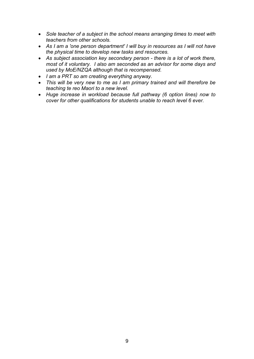- *Sole teacher of a subject in the school means arranging times to meet with teachers from other schools.*
- *As I am a 'one person department' I will buy in resources as I will not have the physical time to develop new tasks and resources.*
- *As subject association key secondary person there is a lot of work there, most of it voluntary. I also am seconded as an advisor for some days and used by MoE/NZQA although that is recompensed.*
- *I am a PRT so am creating everything anyway.*
- *This will be very new to me as I am primary trained and will therefore be teaching te reo Maori to a new level.*
- *Huge increase in workload because full pathway (6 option lines) now to cover for other qualifications for students unable to reach level 6 ever.*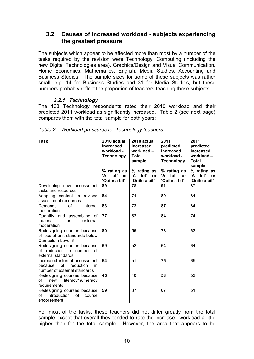### **3.2 Causes of increased workload - subjects experiencing the greatest pressure**

The subjects which appear to be affected more than most by a number of the tasks required by the revision were Technology, Computing (including the new Digital Technologies area), Graphics/Design and Visual Communication, Home Economics, Mathematics, English, Media Studies, Accounting and Business Studies. The sample sizes for some of these subjects was rather small, e.g. 14 for Business Studies and 31 for Media Studies, but these numbers probably reflect the proportion of teachers teaching those subjects.

#### *3.2.1 Technology*

The 133 Technology respondents rated their 2010 workload and their predicted 2011 workload as significantly increased. Table 2 (see next page) compares them with the total sample for both years:

| <b>Task</b>                                                                                       | 2010 actual<br>increased<br>workload -<br><b>Technology</b> | 2010 actual<br>increased<br>workload-<br><b>Total</b><br>sample | 2011<br>predicted<br>increased<br>workload -<br><b>Technology</b> | 2011<br>predicted<br>increased<br>workload-<br><b>Total</b><br>sample |
|---------------------------------------------------------------------------------------------------|-------------------------------------------------------------|-----------------------------------------------------------------|-------------------------------------------------------------------|-----------------------------------------------------------------------|
|                                                                                                   | % rating as<br>lot'<br>ʻA<br><b>or</b><br>'Quite a bit'     | % rating as<br>lot' or<br>'А<br>'Quite a bit'                   | % rating as<br>lot'<br>ʻA<br>or<br>'Quite a bit'                  | % rating as<br>lot'<br>'А<br><b>or</b><br>'Quite a bit'               |
| Developing new assessment<br>tasks and resources                                                  | 89                                                          | 78                                                              | 91                                                                | 87                                                                    |
| Adapting content to revised<br>assessment resources                                               | 84                                                          | 74                                                              | 89                                                                | 84                                                                    |
| internal<br>Demands<br>οf<br>moderation                                                           | 83                                                          | 73                                                              | 87                                                                | 84                                                                    |
| Quantity and assembling of<br>material<br>for<br>external<br>moderation                           | 77                                                          | 62                                                              | 84                                                                | 74                                                                    |
| Redesigning courses because<br>of loss of unit standards below<br>Curriculum Level 6              | 80                                                          | 55                                                              | 78                                                                | 63                                                                    |
| Redesigning courses because<br>of reduction in number of<br>external standards                    | 59                                                          | 52                                                              | 64                                                                | 64                                                                    |
| Increased internal assessment<br>of<br>because<br>reduction<br>in<br>number of external standards | 64                                                          | 51                                                              | 75                                                                | 69                                                                    |
| Redesigning courses because<br>of<br>new<br>literacy/numeracy<br>requirements                     | 45                                                          | 40                                                              | 58                                                                | 53                                                                    |
| Redesigning courses because<br>introduction<br>of<br>of<br>course<br>endorsement                  | 59                                                          | 37                                                              | 67                                                                | 51                                                                    |

For most of the tasks, these teachers did not differ greatly from the total sample except that overall they tended to rate the increased workload a little higher than for the total sample. However, the area that appears to be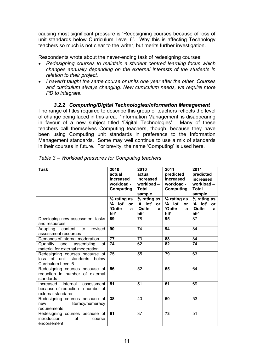causing most significant pressure is 'Redesigning courses because of loss of unit standards below Curriculum Level 6'. Why this is affecting Technology teachers so much is not clear to the writer, but merits further investigation.

Respondents wrote about the never-ending task of redesigning courses:

- *Redesigning courses to maintain a student centred learning focus which changes annually depending on the external interests of the students in relation to their project.*
- *I haven't taught the same course or units one year after the other. Courses and curriculum always changing. New curriculum needs, we require more PD to integrate.*

*3.2.2 Computing/Digital Technologies/Information Management*  The range of titles required to describe this group of teachers reflects the level of change being faced in this area. 'Information Management' is disappearing in favour of a new subject titled 'Digital Technologies'. Many of these teachers call themselves Computing teachers, though, because they have been using Computing unit standards in preference to the Information Management standards. Some may well continue to use a mix of standards in their courses in future. For brevity, the name 'Computing' is used here.

| Task                                                                                           | 2010<br>2010<br>actual<br>actual<br>increased<br>increased<br>workload -<br>workload-<br>Computing<br><b>Total</b><br>sample |                                       | 2011<br>predicted<br>increased<br>workload -<br>Computing | 2011<br>predicted<br>increased<br>workload-<br><b>Total</b><br>sample |
|------------------------------------------------------------------------------------------------|------------------------------------------------------------------------------------------------------------------------------|---------------------------------------|-----------------------------------------------------------|-----------------------------------------------------------------------|
|                                                                                                | % rating as<br>'A lot'<br>or                                                                                                 | $%$ rating as<br>'A lot'<br><b>or</b> | % rating as<br>'A lot'<br><b>or</b>                       | % rating as<br>'A lot'<br><b>or</b>                                   |
|                                                                                                | 'Quite<br>a<br>bit'                                                                                                          | 'Quite<br>a<br>bit'                   | 'Quite<br>$\mathbf{a}$<br>bit'                            | 'Quite<br>a<br>bit'                                                   |
| Developing new assessment tasks<br>and resources                                               | 89                                                                                                                           | 78                                    | 95                                                        | 87                                                                    |
| content<br>Adapting<br>to<br>revised<br>assessment resources                                   | 90                                                                                                                           | 74                                    | 94                                                        | 84                                                                    |
| Demands of internal moderation                                                                 | 77                                                                                                                           | 73                                    | 88                                                        | 84                                                                    |
| Quantity<br>of<br>and<br>assembling<br>material for external moderation                        | 74                                                                                                                           | 62                                    | 82                                                        | 74                                                                    |
| Redesigning courses because of<br>loss of unit standards<br>below<br>Curriculum Level 6        | 75                                                                                                                           | 55                                    | 79                                                        | 63                                                                    |
| Redesigning courses because of<br>reduction in number of external<br>standards                 | 56                                                                                                                           | 52                                    | 65                                                        | 64                                                                    |
| internal<br>Increased<br>assessment<br>because of reduction in number of<br>external standards | 51                                                                                                                           | 51                                    | 61                                                        | 69                                                                    |
| Redesigning courses because of<br>literacy/numeracy<br>new<br>requirements                     | 38                                                                                                                           | 40                                    | 50                                                        | 53                                                                    |
| Redesigning courses because of<br>introduction<br>οf<br>course<br>endorsement                  | 61                                                                                                                           | 37                                    | 73                                                        | 51                                                                    |

*Table 3 – Workload pressures for Computing teachers*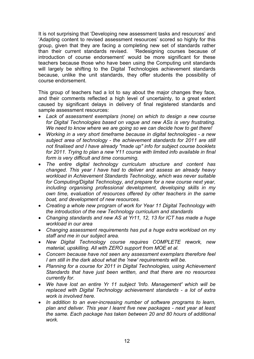It is not surprising that 'Developing new assessment tasks and resources' and 'Adapting content to revised assessment resources' scored so highly for this group, given that they are facing a completing new set of standards rather than their current standards revised. 'Redesigning courses because of introduction of course endorsement' would be more significant for these teachers because those who have been using the Computing unit standards will largely be shifting to the Digital Technologies achievement standards because, unlike the unit standards, they offer students the possibility of course endorsement.

This group of teachers had a lot to say about the major changes they face, and their comments reflected a high level of uncertainty, to a great extent caused by significant delays in delivery of final registered standards and sample assessment resources:

- *Lack of assessment exemplars (none) on which to design a new course for Digital Technologies based on vague and new ASs is very frustrating. We need to know where we are going so we can decide how to get there!*
- *Working in a very short timeframe because in digital technologies a new subject area of technology - the achievement standards for 2011 are still not finalised and I have already "made up" info for subject course booklets for 2011. Trying to plan a new Y11 course with limited info available in final form is very difficult and time consuming.*
- *The entire digital technology curriculum structure and content has changed. This year I have had to deliver and assess an already heavy workload in Achievement Standards Technology, which was never suitable for Computing/Digital Technology, and prepare for a new course next year, including organising professional development, developing skills in my own time, evaluation of resources offered by other teachers in the same boat, and development of new resources.*
- *Creating a whole new program of work for Year 11 Digital Technology with the introduction of the new Technology curriculum and standards*
- *Changing standards and new AS at Yr11, 12, 13 for ICT has made a huge workload in our area*
- *Changing assessment requirements has put a huge extra workload on my staff and me in our subject area.*
- *New Digital Technology course requires COMPLETE rework, new material, upskilling. All with ZERO support from MOE et al.*
- *Concern because have not seen any assessment exemplars therefore feel I am still in the dark about what the 'new' requirements will be.*
- *Planning for a course for 2011 in Digital Technologies, using Achievement Standards that have just been written, and that there are no resources currently for.*
- *We have lost an entire Yr 11 subject 'Info. Management' which will be replaced with Digital Technology achievement standards - a lot of extra work is involved here.*
- *In addition to an ever-increasing number of software programs to learn, plan and deliver. This year I learnt five new packages - next year at least the same. Each package has taken between 20 and 80 hours of additional work.*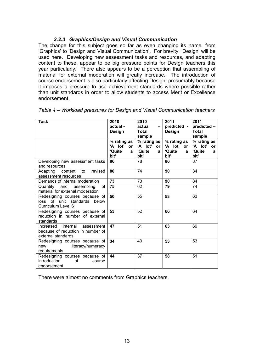#### *3.2.3 Graphics/Design and Visual Communication*

The change for this subject goes so far as even changing its name, from 'Graphics' to 'Design and Visual Communication'. For brevity, 'Design' will be used here. Developing new assessment tasks and resources, and adapting content to these, appear to be big pressure points for Design teachers this year particularly. There also appears to be a perception that assembling of material for external moderation will greatly increase. The introduction of course endorsement is also particularly affecting Design, presumably because it imposes a pressure to use achievement standards where possible rather than unit standards in order to allow students to access Merit or Excellence endorsement.

| Task                                                                                     | 2010<br>actual -<br>Design                               | 2010<br>actual<br><b>Total</b><br>sample           | 2011<br>predicted -<br>Design               | 2011<br>predicted -<br><b>Total</b><br>sample      |
|------------------------------------------------------------------------------------------|----------------------------------------------------------|----------------------------------------------------|---------------------------------------------|----------------------------------------------------|
|                                                                                          | % rating as<br>'A lot'<br>or <sub>1</sub><br>'Quite<br>a | % rating as<br>'A lot'<br><b>or</b><br>'Quite<br>a | % rating as<br>'A lot'<br>or<br>'Quite<br>a | % rating as<br>'A lot'<br><b>or</b><br>'Quite<br>a |
|                                                                                          | bit'                                                     | bit'                                               | bit'                                        | bit'                                               |
| Developing new assessment tasks<br>and resources                                         | 86                                                       | 78                                                 | 86                                          | 87                                                 |
| Adapting content to<br>revised<br>assessment resources                                   | 80                                                       | 74                                                 | 90                                          | 84                                                 |
| Demands of internal moderation                                                           | 73                                                       | 73                                                 | 90                                          | 84                                                 |
| Quantity and assembling<br>of<br>material for external moderation                        | 75                                                       | 62                                                 | 79                                          | 74                                                 |
| Redesigning courses because of<br>loss of unit standards below<br>Curriculum Level 6     | 50                                                       | 55                                                 | 53                                          | 63                                                 |
| Redesigning courses because of<br>reduction in number of external<br>standards           | 53                                                       | 52                                                 | 66                                          | 64                                                 |
| Increased internal assessment<br>because of reduction in number of<br>external standards | 47                                                       | 51                                                 | 63                                          | 69                                                 |
| Redesigning courses because of<br>literacy/numeracy<br>new<br>requirements               | 34                                                       | 40                                                 | 53                                          | 53                                                 |
| Redesigning courses because of<br>introduction<br>0f<br>course<br>endorsement            | 44                                                       | 37                                                 | 58                                          | 51                                                 |

*Table 4 – Workload pressures for Design and Visual Communication teachers* 

There were almost no comments from Graphics teachers.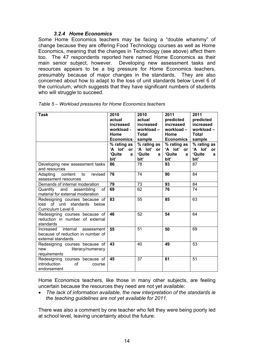#### *3.2.4 Home Economics*

Some Home Economics teachers may be facing a "double whammy" of change because they are offering Food Technology courses as well as Home Economics, meaning that the changes in Technology (see above) affect them too. The 47 respondents reported here named Home Economics as their main senior subject, however. Developing new assessment tasks and resources appears to be a big pressure for Home Economics teachers, presumably because of major changes in the standards. They are also concerned about how to adapt to the loss of unit standards below Level 6 of the curriculum, which suggests that they have significant numbers of students who will struggle to succeed.

| Task                                                                                        | 2010<br>actual<br>increased<br>workload -<br>Home<br><b>Economics</b><br>% rating as $ $<br>'A lot'<br><b>or</b><br>'Quite<br>a<br>bit' | 2010<br>actual<br>increased<br>workload-<br><b>Total</b><br>sample<br>% rating as<br>'A lot'<br>or<br>'Quite<br>a<br>bit' | 2011<br>predicted<br>increased<br>workload-<br>Home<br><b>Economics</b><br>% rating as<br>'A lot'<br><b>or</b><br>'Quite<br>a<br>bit' | 2011<br>predicted<br>increased<br>workload-<br><b>Total</b><br>sample<br>% rating as<br>'A lot'<br><b>or</b><br>'Quite<br>a<br>bit' |
|---------------------------------------------------------------------------------------------|-----------------------------------------------------------------------------------------------------------------------------------------|---------------------------------------------------------------------------------------------------------------------------|---------------------------------------------------------------------------------------------------------------------------------------|-------------------------------------------------------------------------------------------------------------------------------------|
| Developing new assessment tasks<br>and resources                                            | 86                                                                                                                                      | 78                                                                                                                        | 93                                                                                                                                    | 87                                                                                                                                  |
| content<br>Adapting<br>to<br>revised<br>assessment resources                                | 76                                                                                                                                      | 74                                                                                                                        | 90                                                                                                                                    | 84                                                                                                                                  |
| Demands of internal moderation                                                              | 79                                                                                                                                      | 73                                                                                                                        | 93                                                                                                                                    | 84                                                                                                                                  |
| Quantity<br>and<br>assembling<br>of<br>material for external moderation                     | 69                                                                                                                                      | 62                                                                                                                        | 76                                                                                                                                    | 74                                                                                                                                  |
| Redesigning courses because of<br>loss of unit standards below<br>Curriculum Level 6        | 83                                                                                                                                      | 55                                                                                                                        | 85                                                                                                                                    | 63                                                                                                                                  |
| Redesigning courses because of<br>reduction in number of external<br>standards              | 46                                                                                                                                      | 52                                                                                                                        | 54                                                                                                                                    | 64                                                                                                                                  |
| Increased internal<br>assessment<br>because of reduction in number of<br>external standards | 55                                                                                                                                      | 51                                                                                                                        | 50                                                                                                                                    | 69                                                                                                                                  |
| Redesigning courses because of<br>literacy/numeracy<br>new<br>requirements                  | 43                                                                                                                                      | 40                                                                                                                        | 49                                                                                                                                    | 53                                                                                                                                  |
| Redesigning courses because of<br>introduction<br>of<br>course<br>endorsement               | 45                                                                                                                                      | 37                                                                                                                        | 61                                                                                                                                    | 51                                                                                                                                  |

Home Economics teachers, like those in many other subjects, are feeling uncertain because the resources they need are not yet available:

• *The lack of information available, the new interpretation of the standards ie the teaching guidelines are not yet available for 2011.* 

There was also a comment by one teacher who felt they were being poorly led at school level, leaving uncertainty about the future: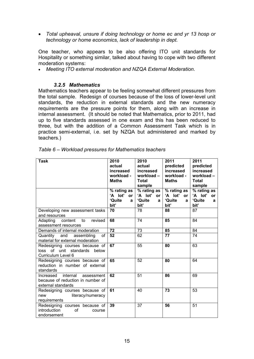• *Total upheaval, unsure if doing technology or home ec and yr 13 hosp or technology or home economics, lack of leadership in dept.* 

One teacher, who appears to be also offering ITO unit standards for Hospitality or something similar, talked about having to cope with two different moderation systems:

• *Meeting ITO external moderation and NZQA External Moderation*.

#### *3.2.5 Mathematics*

Mathematics teachers appear to be feeling somewhat different pressures from the total sample. Redesign of courses because of the loss of lower-level unit standards, the reduction in external standards and the new numeracy requirements are the pressure points for them, along with an increase in internal assessment. (It should be noted that Mathematics, prior to 2011, had up to five standards assessed in one exam and this has been reduced to three, but with the addition of a Common Assessment Task which is in practice semi-external, i.e. set by NZQA but administered and marked by teachers.)

| Task                                                                                        | 2010<br>actual<br>increased<br>workload -<br><b>Maths</b> | 2010<br>actual<br>increased<br>workload-<br><b>Total</b><br>sample | 2011<br>predicted<br>increased<br>workload -<br><b>Maths</b> | 2011<br>predicted<br>increased<br>workload-<br><b>Total</b><br>sample |
|---------------------------------------------------------------------------------------------|-----------------------------------------------------------|--------------------------------------------------------------------|--------------------------------------------------------------|-----------------------------------------------------------------------|
|                                                                                             | % rating as<br>'A lot'<br>or <sub>l</sub>                 | % rating as<br>'A lot'<br>or                                       | % rating as<br>'A lot'<br><b>or</b>                          | % rating as<br>'A lot'<br><b>or</b>                                   |
|                                                                                             | 'Quite<br>a<br>bit'                                       | 'Quite<br>a<br>bit'                                                | 'Quite<br>a<br>bit'                                          | 'Quite<br>a<br>bit'                                                   |
| Developing new assessment tasks<br>and resources                                            | 70                                                        | 78                                                                 | 88                                                           | 87                                                                    |
| content<br>Adapting<br>to<br>revised<br>assessment resources                                | 68                                                        | 74                                                                 | 85                                                           | 84                                                                    |
| Demands of internal moderation                                                              | 72                                                        | $\overline{73}$                                                    | 85                                                           | 84                                                                    |
| Quantity<br>and<br>assembling<br>of<br>material for external moderation                     | 52                                                        | 62                                                                 | 77                                                           | 74                                                                    |
| Redesigning courses because of<br>loss of unit standards<br>below<br>Curriculum Level 6     | 67                                                        | 55                                                                 | 80                                                           | 63                                                                    |
| Redesigning courses because of<br>reduction in number of external<br>standards              | 65                                                        | 52                                                                 | 80                                                           | 64                                                                    |
| internal assessment<br>Increased<br>because of reduction in number of<br>external standards | 62                                                        | 51                                                                 | 86                                                           | 69                                                                    |
| Redesigning courses because of<br>new<br>literacy/numeracy<br>requirements                  | 61                                                        | 40                                                                 | 73                                                           | 53                                                                    |
| Redesigning courses because of<br>introduction<br>οf<br>course<br>endorsement               | 39                                                        | 37                                                                 | 56                                                           | 51                                                                    |

|  |  |  |  | Table 6 – Workload pressures for Mathematics teachers |  |
|--|--|--|--|-------------------------------------------------------|--|
|--|--|--|--|-------------------------------------------------------|--|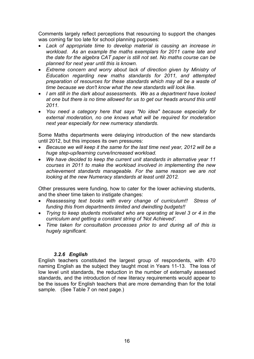Comments largely reflect perceptions that resourcing to support the changes was coming far too late for school planning purposes:

- *Lack of appropriate time to develop material is causing an increase in workload. As an example the maths exemplars for 2011 came late and the date for the algebra CAT paper is still not set. No maths course can be planned for next year until this is known.*
- *Extreme concern and worry about lack of direction given by Ministry of Education regarding new maths standards for 2011, and attempted preparation of resources for these standards which may all be a waste of time because we don't know what the new standards will look like.*
- *I am still in the dark about assessments. We as a department have looked at one but there is no time allowed for us to get our heads around this until 2011.*
- *You need a category here that says "No idea" because especially for external moderation, no one knows what will be required for moderation next year especially for new numeracy standards.*

Some Maths departments were delaying introduction of the new standards until 2012, but this imposes its own pressures:

- *Because we will keep it the same for the last time next year, 2012 will be a huge step-up/learning curve/increased workload.*
- *We have decided to keep the current unit standards in alternative year 11 courses in 2011 to make the workload involved in implementing the new achievement standards manageable. For the same reason we are not looking at the new Numeracy standards at least until 2012.*

Other pressures were funding, how to cater for the lower achieving students, and the sheer time taken to instigate changes:

- *Reassessing text books with every change of curriculum!! Stress of funding this from departments limited and dwindling budgets!!*
- *Trying to keep students motivated who are operating at level 3 or 4 in the curriculum and getting a constant string of 'Not Achieved'.*
- *Time taken for consultation processes prior to and during all of this is hugely significant.*

#### *3.2.6 English*

English teachers constituted the largest group of respondents, with 470 naming English as the subject they taught most in Years 11-13. The loss of low level unit standards, the reduction in the number of externally assessed standards, and the introduction of new literacy requirements would appear to be the issues for English teachers that are more demanding than for the total sample. (See Table 7 on next page.)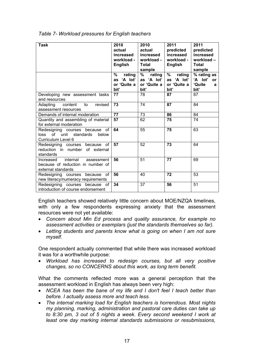| Task                                                                                           | 2010<br>actual<br>increased<br>workload -<br><b>English</b><br>%<br>rating<br>'A lot'<br>as | 2010<br>actual<br>increased<br>workload -<br>Total<br>sample<br>%<br>rating<br>as 'A lot' | 2011<br>predicted<br>increased<br>workload -<br>English<br>%<br>rating<br>as 'A lot' | 2011<br>predicted<br>increased<br>workload-<br><b>Total</b><br>sample<br>% rating as<br>'A lot'<br><b>or</b> |
|------------------------------------------------------------------------------------------------|---------------------------------------------------------------------------------------------|-------------------------------------------------------------------------------------------|--------------------------------------------------------------------------------------|--------------------------------------------------------------------------------------------------------------|
|                                                                                                | or 'Quite a<br>bit'                                                                         | or 'Quite a<br>bit'                                                                       | or 'Quite a<br>bit'                                                                  | 'Quite<br>a<br>bit'                                                                                          |
| Developing new assessment tasks<br>and resources                                               | 77                                                                                          | 78                                                                                        | 87                                                                                   | 87                                                                                                           |
| Adapting<br>content<br>to<br>revised<br>assessment resources                                   | 73                                                                                          | 74                                                                                        | 87                                                                                   | 84                                                                                                           |
| Demands of internal moderation                                                                 | 77                                                                                          | 73                                                                                        | 86                                                                                   | 84                                                                                                           |
| Quantity and assembling of material<br>for external moderation                                 | $\overline{57}$                                                                             | 62                                                                                        | 75                                                                                   | 74                                                                                                           |
| Redesigning courses because of<br>of unit<br>standards<br>below<br>loss<br>Curriculum Level 6  | 64                                                                                          | 55                                                                                        | 75                                                                                   | 63                                                                                                           |
| Redesigning courses because<br>of<br>reduction in number of external<br>standards              | 57                                                                                          | 52                                                                                        | 73                                                                                   | 64                                                                                                           |
| internal<br>Increased<br>assessment<br>because of reduction in number of<br>external standards | 56                                                                                          | 51                                                                                        | 77                                                                                   | 69                                                                                                           |
| of<br>Redesigning courses because<br>new literacy/numeracy requirements                        | 56                                                                                          | 40                                                                                        | 72                                                                                   | 53                                                                                                           |
| Redesigning courses because<br>of<br>introduction of course endorsement                        | 34                                                                                          | 37                                                                                        | 56                                                                                   | 51                                                                                                           |

*Table 7- Workload pressures for English teachers* 

English teachers showed relatively little concern about MOE/NZQA timelines, with only a few respondents expressing anxiety that the assessment resources were not yet available:

- *Concern about Min Ed process and quality assurance, for example no assessment activities or exemplars (just the standards themselves so far).*
- *Letting students and parents know what is going on when I am not sure myself.*

One respondent actually commented that while there was increased workload it was for a worthwhile purpose:

• *Workload has increased to redesign courses, but all very positive changes, so no CONCERNS about this work, as long term benefit.* 

What the comments reflected more was a general perception that the assessment workload in English has always been very high:

- *NCEA has been the bane of my life and I don't feel I teach better than before. I actually assess more and teach less.*
- *The internal marking load for English teachers is horrendous. Most nights my planning, marking, administration and pastoral care duties can take up to 8:30 pm, 3 out of 5 nights a week. Every second weekend I work at least one day marking internal standards submissions or resubmissions,*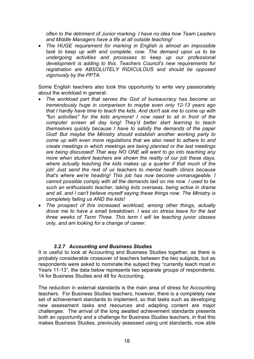*often to the detriment of Junior marking. I have no idea how Team Leaders and Middle Managers have a life at all outside teaching!* 

• *The HUGE requirement for marking in English is almost an impossible task to keep up with and complete, now. The demand upon us to be undergoing activities and processes to keep up our professional development is adding to this. Teachers Council's new requirements for registration are ABSOLUTELY RIDICULOUS and should be opposed vigorously by the PPTA.* 

Some English teachers also took this opportunity to write very passionately about the workload in general:

- *The workload part that serves the God of bureaucracy has become so tremendously huge in comparison to maybe even only 12-13 years ago that I hardly have time to teach the kids. And don't ask me to come up with "fun activities" for the kids anymore! I now need to sit in front of the computer screen all day long! They'd better start learning to teach themselves quickly because I have to satisfy the demands of the paper God! But maybe the Ministry should establish another working party to come up with even more regulations that we also need to adhere to and create meetings in which meetings are being planned or the last meetings are being discussed! That way NO ONE will want to go into teaching any more when student teachers are shown the reality of our job these days, where actually teaching the kids makes up a quarter if that much of the job! Just send the rest of us teachers to mental health clinics because that's where we're heading! This job has now become unmanageable. I cannot possible comply with all the demands laid on me now. I used to be such an enthusiastic teacher, taking kids overseas, being active in drama and all, and I can't believe myself saying these things now. The Ministry is completely failing us AND the kids!*
- *The prospect of this increased workload, among other things, actually drove me to have a small breakdown. I was on stress leave for the last three weeks of Term Three. This term I will be teaching junior classes only, and am looking for a change of career.*

#### *3.2.7 Accounting and Business Studies*

It is useful to look at Accounting and Business Studies together, as there is probably considerable crossover of teachers between the two subjects, but as respondents were asked to nominate the subject they "currently teach most in Years 11-13", the data below represents two separate groups of respondents, 14 for Business Studies and 48 for Accounting.

The reduction in external standards is the main area of stress for Accounting teachers. For Business Studies teachers, however, there is a completely new set of achievement standards to implement, so that tasks such as developing new assessment tasks and resources and adapting content are major challenges. The arrival of the long awaited achievement standards presents both an opportunity and a challenge for Business Studies teachers, in that this makes Business Studies, previously assessed using unit standards, now able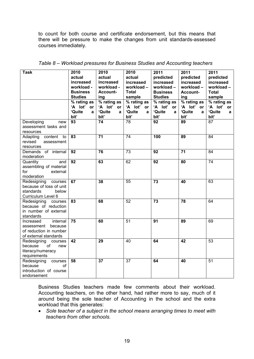to count for both course and certificate endorsement, but this means that there will be pressure to make the changes from unit standards-assessed courses immediately.

| <b>Task</b>                       | 2010                 | 2010          | 2010                 | 2011            | 2011                   | 2011            |
|-----------------------------------|----------------------|---------------|----------------------|-----------------|------------------------|-----------------|
|                                   | actual               | actual        | actual               | predicted       | predicted              | predicted       |
|                                   | increased            | increased     | increased            | increased       | increased              | increased       |
|                                   | workload -           | workload -    | workload-            | workload-       | workload-              | workload-       |
|                                   | <b>Business</b>      | Account-      | <b>Total</b>         | <b>Business</b> | Account-               | <b>Total</b>    |
|                                   | <b>Studies</b>       | ing           | sample               | <b>Studies</b>  | ing                    | sample          |
|                                   | % rating as          | $%$ rating as | $%$ rating as        | $%$ rating as   | $%$ rating as          | % rating as     |
|                                   | 'A lot'<br><b>or</b> | 'A lot' or    | 'A lot'<br><b>or</b> | 'A lot' or      | 'A lot'<br>or          | 'A lot'<br>or   |
|                                   | 'Quite<br>a          | 'Quite<br>a   | 'Quite<br>a          | 'Quite<br>a     | 'Quite<br>$\mathbf{a}$ | 'Quite<br>a     |
|                                   | bit'                 | bit'          | bit'                 | bit'            | bit'                   | bit'            |
| Developing<br>new                 | 93                   | 74            | 78                   | 92              | 89                     | 87              |
| assessment tasks and              |                      |               |                      |                 |                        |                 |
| resources                         |                      |               |                      |                 |                        |                 |
| Adapting<br>content<br>to         | 83                   | 71            | 74                   | 100             | 89                     | 84              |
| revised<br>assessment             |                      |               |                      |                 |                        |                 |
| resources                         |                      | 76            | 73                   | 92              | 71                     | 84              |
| Demands of internal<br>moderation | 92                   |               |                      |                 |                        |                 |
| Quantity<br>and                   | $\overline{92}$      | 63            | 62                   | $\overline{92}$ | $\overline{80}$        | $\overline{74}$ |
| assembling of material            |                      |               |                      |                 |                        |                 |
| for<br>external                   |                      |               |                      |                 |                        |                 |
| moderation                        |                      |               |                      |                 |                        |                 |
| Redesigning<br>courses            | 67                   | 38            | 55                   | $\overline{73}$ | 40                     | 63              |
| because of loss of unit           |                      |               |                      |                 |                        |                 |
| standards<br>below                |                      |               |                      |                 |                        |                 |
| Curriculum Level 6                |                      |               |                      |                 |                        |                 |
| Redesigning<br>courses            | 83                   | 68            | $\overline{52}$      | 73              | 78                     | 64              |
| because of reduction              |                      |               |                      |                 |                        |                 |
| in number of external             |                      |               |                      |                 |                        |                 |
| standards                         |                      |               |                      |                 |                        |                 |
| internal<br>Increased             | 75                   | 60            | $\overline{51}$      | 91              | 89                     | 69              |
| assessment<br>because             |                      |               |                      |                 |                        |                 |
| of reduction in number            |                      |               |                      |                 |                        |                 |
| of external standards             |                      |               |                      |                 |                        |                 |
| Redesigning<br>courses            | 42                   | 29            | 40                   | 64              | 42                     | 53              |
| of<br>because<br>new              |                      |               |                      |                 |                        |                 |
| literacy/numeracy                 |                      |               |                      |                 |                        |                 |
| requirements                      |                      |               |                      |                 |                        |                 |
| Redesigning<br>courses            | 58                   | 37            | 37                   | 64              | 40                     | 51              |
| because<br>οf                     |                      |               |                      |                 |                        |                 |
| introduction of course            |                      |               |                      |                 |                        |                 |
| endorsement                       |                      |               |                      |                 |                        |                 |

*Table 8 – Workload pressures for Business Studies and Accounting teachers* 

Business Studies teachers made few comments about their workload. Accounting teachers, on the other hand, had rather more to say, much of it around being the sole teacher of Accounting in the school and the extra workload that this generates:

• *Sole teacher of a subject in the school means arranging times to meet with teachers from other schools.*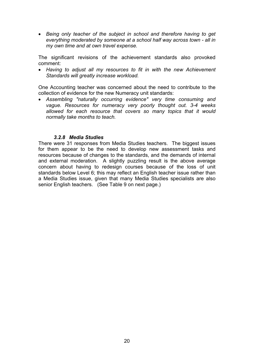• *Being only teacher of the subject in school and therefore having to get everything moderated by someone at a school half way across town - all in my own time and at own travel expense.* 

The significant revisions of the achievement standards also provoked comment:

• *Having to adjust all my resources to fit in with the new Achievement Standards will greatly increase workload.* 

One Accounting teacher was concerned about the need to contribute to the collection of evidence for the new Numeracy unit standards:

• *Assembling "naturally occurring evidence" very time consuming and vague. Resources for numeracy very poorly thought out. 3-4 weeks allowed for each resource that covers so many topics that it would normally take months to teach.* 

#### *3.2.8 Media Studies*

There were 31 responses from Media Studies teachers. The biggest issues for them appear to be the need to develop new assessment tasks and resources because of changes to the standards, and the demands of internal and external moderation. A slightly puzzling result is the above average concern about having to redesign courses because of the loss of unit standards below Level 6; this may reflect an English teacher issue rather than a Media Studies issue, given that many Media Studies specialists are also senior English teachers. (See Table 9 on next page.)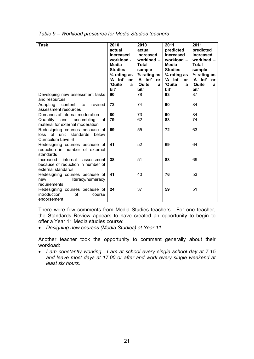| <b>Task</b>                                                                                 | 2010<br>actual<br>increased<br>workload -<br>Media<br><b>Studies</b><br>$\sqrt{2}$ rating as  <br>'A lot'<br>or<br>'Quite<br>a | 2010<br>actual<br>increased<br>workload $-$<br><b>Total</b><br>sample<br>% rating as<br>'A lot'<br><b>or</b><br>'Quite<br>a | 2011<br>predicted<br>increased<br>workload -<br><b>Media</b><br><b>Studies</b><br>% rating as<br>'A lot'<br><b>or</b><br>'Quite<br>$\mathbf{a}$ | 2011<br>predicted<br>increased<br>workload -<br><b>Total</b><br>sample<br>% rating as<br>'A lot'<br><b>or</b><br>'Quite<br>a |
|---------------------------------------------------------------------------------------------|--------------------------------------------------------------------------------------------------------------------------------|-----------------------------------------------------------------------------------------------------------------------------|-------------------------------------------------------------------------------------------------------------------------------------------------|------------------------------------------------------------------------------------------------------------------------------|
|                                                                                             | bit'                                                                                                                           | bit'                                                                                                                        | bit'                                                                                                                                            | bit'                                                                                                                         |
| Developing new assessment tasks<br>and resources                                            | 90                                                                                                                             | 78                                                                                                                          | 93                                                                                                                                              | 87                                                                                                                           |
| content<br>Adapting<br>to<br>revised<br>assessment resources                                | 72                                                                                                                             | 74                                                                                                                          | 90                                                                                                                                              | 84                                                                                                                           |
| Demands of internal moderation                                                              | 80                                                                                                                             | 73                                                                                                                          | 90                                                                                                                                              | 84                                                                                                                           |
| and<br>assembling<br>of<br>Quantity<br>material for external moderation                     | 79                                                                                                                             | 62                                                                                                                          | 83                                                                                                                                              | 74                                                                                                                           |
| Redesigning courses because of<br>loss of unit standards below<br>Curriculum Level 6        | 69                                                                                                                             | 55                                                                                                                          | 72                                                                                                                                              | 63                                                                                                                           |
| Redesigning courses because of<br>reduction in number of external<br>standards              | 41                                                                                                                             | 52                                                                                                                          | 69                                                                                                                                              | 64                                                                                                                           |
| internal assessment<br>Increased<br>because of reduction in number of<br>external standards | 38                                                                                                                             | 51                                                                                                                          | 83                                                                                                                                              | 69                                                                                                                           |
| Redesigning courses because of<br>literacy/numeracy<br>new<br>requirements                  | 41                                                                                                                             | 40                                                                                                                          | 76                                                                                                                                              | 53                                                                                                                           |
| Redesigning courses because of<br>introduction<br>of<br>course<br>endorsement               | 24                                                                                                                             | $\overline{37}$                                                                                                             | 59                                                                                                                                              | 51                                                                                                                           |

*Table 9 – Workload pressures for Media Studies teachers* 

There were few comments from Media Studies teachers. For one teacher, the Standards Review appears to have created an opportunity to begin to offer a Year 11 Media studies course:

• *Designing new courses (Media Studies) at Year 11.* 

Another teacher took the opportunity to comment generally about their workload:

• *I am constantly working. I am at school every single school day at 7.15 and leave most days at 17.00 or after and work every single weekend at least six hours.*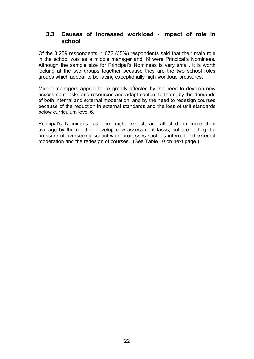### **3.3 Causes of increased workload - impact of role in school**

Of the 3,259 respondents, 1,072 (35%) respondents said that their main role in the school was as a middle manager and 19 were Principal's Nominees. Although the sample size for Principal's Nominees is very small, it is worth looking at the two groups together because they are the two school roles groups which appear to be facing exceptionally high workload pressures.

Middle managers appear to be greatly affected by the need to develop new assessment tasks and resources and adapt content to them, by the demands of both internal and external moderation, and by the need to redesign courses because of the reduction in external standards and the loss of unit standards below curriculum level 6.

Principal's Nominees, as one might expect, are affected no more than average by the need to develop new assessment tasks, but are feeling the pressure of overseeing school-wide processes such as internal and external moderation and the redesign of courses. (See Table 10 on next page.)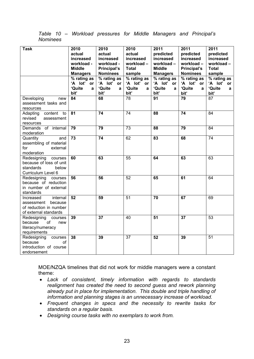*Table 10 – Workload pressures for Middle Managers and Principal's Nominees* 

| <b>Task</b>                                                                                       | 2010<br>actual<br>increased<br>workload -<br><b>Middle</b><br><b>Managers</b><br>% rating as | 2010<br>actual<br>increased<br>workload -<br>Principal's<br><b>Nominees</b><br>% rating as | 2010<br>actual<br>increased<br>workload-<br><b>Total</b><br>sample<br>$\sqrt{\frac{2}{10}}$ rating as | 2011<br>predicted<br>increased<br>workload-<br><b>Middle</b><br><b>Managers</b><br>$\sqrt{\frac{2}{10}}$ rating as | 2011<br>predicted<br>increased<br>workload-<br>Principal's<br><b>Nominees</b><br>% rating as | 2011<br>predicted<br>increased<br>workload-<br><b>Total</b><br>sample<br>% rating as |
|---------------------------------------------------------------------------------------------------|----------------------------------------------------------------------------------------------|--------------------------------------------------------------------------------------------|-------------------------------------------------------------------------------------------------------|--------------------------------------------------------------------------------------------------------------------|----------------------------------------------------------------------------------------------|--------------------------------------------------------------------------------------|
|                                                                                                   | 'A lot'<br>or<br>'Quite<br>a<br>bit'                                                         | 'A lot' or<br>'Quite<br>a<br>bit'                                                          | 'A lot'<br>or<br>'Quite<br>a<br>bit'                                                                  | 'A lot' or<br>'Quite<br>a<br>bit'                                                                                  | 'A lot'<br>or<br>'Quite<br>$\mathbf{a}$<br>bit'                                              | 'A lot'<br>or<br>'Quite<br>a<br>bit'                                                 |
| Developing<br>new<br>assessment tasks and<br>resources                                            | 84                                                                                           | 68                                                                                         | 78                                                                                                    | 91                                                                                                                 | 79                                                                                           | 87                                                                                   |
| content<br>Adapting<br>to<br>revised<br>assessment<br>resources                                   | $\overline{81}$                                                                              | $\overline{74}$                                                                            | 74                                                                                                    | 88                                                                                                                 | $\overline{74}$                                                                              | 84                                                                                   |
| Demands of internal<br>moderation                                                                 | $\overline{79}$                                                                              | $\overline{79}$                                                                            | $\overline{73}$                                                                                       | $\overline{88}$                                                                                                    | $\overline{79}$                                                                              | 84                                                                                   |
| Quantity<br>and<br>assembling of material<br>for<br>external<br>moderation                        | $\overline{73}$                                                                              | 74                                                                                         | 62                                                                                                    | 83                                                                                                                 | 68                                                                                           | 74                                                                                   |
| Redesigning courses<br>because of loss of unit<br>standards<br>below<br>Curriculum Level 6        | 60                                                                                           | 63                                                                                         | 55                                                                                                    | 64                                                                                                                 | 63                                                                                           | 63                                                                                   |
| Redesigning courses<br>because of reduction<br>in number of external<br>standards                 | 56                                                                                           | 56                                                                                         | $\overline{52}$                                                                                       | 65                                                                                                                 | 61                                                                                           | 64                                                                                   |
| internal<br>Increased<br>assessment<br>because<br>of reduction in number<br>of external standards | 52                                                                                           | 59                                                                                         | 51                                                                                                    | 70                                                                                                                 | 67                                                                                           | 69                                                                                   |
| Redesigning<br>courses<br>because<br>οf<br>new<br>literacy/numeracy<br>requirements               | 39                                                                                           | $\overline{37}$                                                                            | 40                                                                                                    | $\overline{51}$                                                                                                    | $\overline{37}$                                                                              | $\overline{53}$                                                                      |
| Redesigning<br>courses<br>because<br>οf<br>introduction of course<br>endorsement                  | 38                                                                                           | 39                                                                                         | $\overline{37}$                                                                                       | $\overline{52}$                                                                                                    | 39                                                                                           | $\overline{51}$                                                                      |

MOE/NZQA timelines that did not work for middle managers were a constant theme:

- *Lack of consistent, timely information with regards to standards realignment has created the need to second guess and rework planning already put in place for implementation. This double and triple handling of information and planning stages is an unnecessary increase of workload.*
- *Frequent changes in specs and the necessity to rewrite tasks for standards on a regular basis.*
- *Designing course tasks with no exemplars to work from.*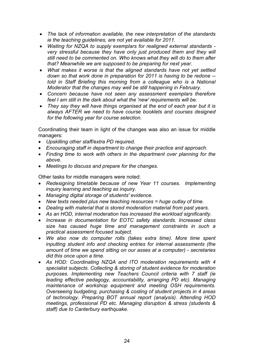- *The lack of information available, the new interpretation of the standards ie the teaching guidelines, are not yet available for 2011.*
- *Waiting for NZQA to supply exemplars for realigned external standards very stressful because they have only just produced them and they will still need to be commented on. Who knows what they will do to them after that? Meanwhile we are supposed to be preparing for next year.*
- *What makes it worse is that the aligned standards have not yet settled down so that work done in preparation for 2011 is having to be redone - told in Staff Briefing this morning from a colleague who is a National Moderator that the changes may well be still happening in February.*
- *Concern because have not seen any assessment exemplars therefore feel I am still in the dark about what the 'new' requirements will be.*
- *They say they will have things organised at the end of each year but it is always AFTER we need to have course booklets and courses designed for the following year for course selection.*

Coordinating their team in light of the changes was also an issue for middle managers:

- *Upskilling other staff/extra PD required.*
- *Encouraging staff in department to change their practice and approach.*
- *Finding time to work with others in the department over planning for the above.*
- *Meetings to discuss and prepare for the changes.*

Other tasks for middle managers were noted:

- *Redesigning timetable because of new Year 11 courses. Implementing inquiry learning and teaching as inquiry.*
- *Managing digital storage of students' evidence.*
- *New texts needed plus new teaching resources = huge outlay of time.*
- *Dealing with material that is stored moderation material from past years.*
- *As an HOD, internal moderation has increased the workload significantly.*
- *Increase in documentation for EOTC safety standards. Increased class size has caused huge time and management constraints in such a practical assessment focused subject.*
- *We also now do computer rolls (takes extra time). More time spent inputting student info and checking entries for internal assessments (the amount of time we spend sitting on our asses at a computer) - secretaries did this once upon a time.*
- *As HOD: Coordinating NZQA and ITO moderation requirements with 4 specialist subjects. Collecting & storing of student evidence for moderation purposes. Implementing new Teachers Council criteria with 7 staff (ie leading effective pedagogy, accountability, arranging PD etc). Managing maintenance of workshop equipment and meeting OSH requirements. Overseeing budgeting, purchasing & costing of student projects in 4 areas of technology. Preparing BOT annual report (analysis). Attending HOD meetings, professional PD etc. Managing disruption & stress (students & staff) due to Canterbury earthquake.*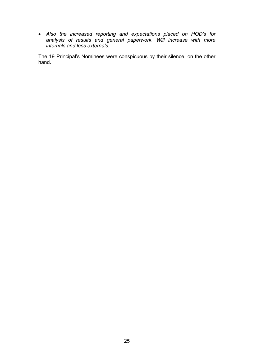• *Also the increased reporting and expectations placed on HOD's for analysis of results and general paperwork. Will increase with more internals and less externals.* 

The 19 Principal's Nominees were conspicuous by their silence, on the other hand.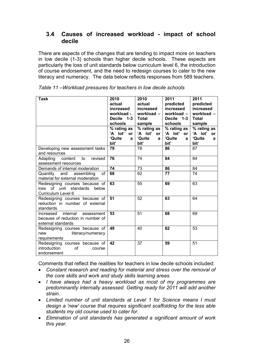### **3.4 Causes of increased workload - impact of school decile**

There are aspects of the changes that are tending to impact more on teachers in low decile (1-3) schools than higher decile schools. These aspects are particularly the loss of unit standards below curriculum level 6, the introduction of course endorsement, and the need to redesign courses to cater to the new literacy and numeracy. The data below reflects responses from 589 teachers.

| Task                                                                                        | 2010<br>actual<br>increased<br>workload -<br>Decile $1-3$<br>schools<br>% rating as $\vert$<br>'A lot' or l<br>'Quite<br>a | 2010<br>actual<br>increased<br>workload $-$<br><b>Total</b><br>sample<br>% rating as $ $<br>'A lot'<br>or <sub>l</sub><br>'Quite<br>a | 2011<br>predicted<br>increased<br>workload -<br>Decile 1-3<br>schools<br>% rating as<br>'A lot'<br><b>or</b><br>'Quite<br>a | 2011<br>predicted<br>increased<br>workload -<br><b>Total</b><br>sample<br>% rating as<br>'A lot'<br>or<br>'Quite<br>a |
|---------------------------------------------------------------------------------------------|----------------------------------------------------------------------------------------------------------------------------|---------------------------------------------------------------------------------------------------------------------------------------|-----------------------------------------------------------------------------------------------------------------------------|-----------------------------------------------------------------------------------------------------------------------|
| Developing new assessment tasks                                                             | bit'<br>79                                                                                                                 | bit'<br>78                                                                                                                            | bit'<br>86                                                                                                                  | bit'<br>87                                                                                                            |
| and resources                                                                               |                                                                                                                            |                                                                                                                                       |                                                                                                                             |                                                                                                                       |
| content<br>Adapting<br>revised<br>to<br>assessment resources                                | 76                                                                                                                         | 74                                                                                                                                    | 84                                                                                                                          | 84                                                                                                                    |
| Demands of internal moderation                                                              | 74                                                                                                                         | 73                                                                                                                                    | 86                                                                                                                          | 84                                                                                                                    |
| of<br>Quantity and assembling<br>material for external moderation                           | 68                                                                                                                         | 62                                                                                                                                    | 77                                                                                                                          | 74                                                                                                                    |
| Redesigning courses because of<br>loss of unit standards below<br>Curriculum Level 6        | 63                                                                                                                         | 55                                                                                                                                    | 69                                                                                                                          | 63                                                                                                                    |
| Redesigning courses because of<br>reduction in number of external<br>standards              | 51                                                                                                                         | 52                                                                                                                                    | 63                                                                                                                          | 64                                                                                                                    |
| internal assessment<br>Increased<br>because of reduction in number of<br>external standards | 53                                                                                                                         | 51                                                                                                                                    | 68                                                                                                                          | 69                                                                                                                    |
| Redesigning courses because of<br>literacy/numeracy<br>new<br>requirements                  | 49                                                                                                                         | 40                                                                                                                                    | 62                                                                                                                          | 53                                                                                                                    |
| Redesigning courses because of<br>introduction<br>οf<br>course<br>endorsement               | 42                                                                                                                         | 37                                                                                                                                    | 59                                                                                                                          | 51                                                                                                                    |

*Table 11 –Workload pressures for teachers in low decile schools* 

Comments that reflect the realities for teachers in low decile schools included:

- *Constant research and reading for material and stress over the removal of the core skills and work and study skills learning areas.*
- *I have always had a heavy workload as most of my programmes are predominantly internally assessed. Getting ready for 2011 will add another strain.*
- *Limited number of unit standards at Level 1 for Science means I must design a 'new' course that requires significant scaffolding for the less able students my old course used to cater for.*
- *Elimination of unit standards has generated a significant amount of work this year.*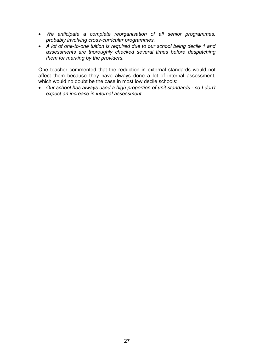- *We anticipate a complete reorganisation of all senior programmes, probably involving cross-curricular programmes.*
- *A lot of one-to-one tuition is required due to our school being decile 1 and assessments are thoroughly checked several times before despatching them for marking by the providers.*

One teacher commented that the reduction in external standards would not affect them because they have always done a lot of internal assessment, which would no doubt be the case in most low decile schools:

• *Our school has always used a high proportion of unit standards - so I don't expect an increase in internal assessment.*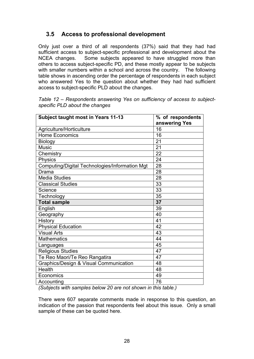# **3.5 Access to professional development**

Only just over a third of all respondents (37%) said that they had had sufficient access to subject-specific professional and development about the NCEA changes. Some subjects appeared to have struggled more than others to access subject-specific PD, and these mostly appear to be subjects with smaller numbers within a school and across the country. The following table shows in ascending order the percentage of respondents in each subject who answered Yes to the question about whether they had had sufficient access to subject-specific PLD about the changes.

| Subject taught most in Years 11-13                | % of respondents<br>answering Yes |
|---------------------------------------------------|-----------------------------------|
| Agriculture/Horticulture                          | 16                                |
| <b>Home Economics</b>                             | 16                                |
| <b>Biology</b>                                    | 21                                |
| <b>Music</b>                                      | 21                                |
| Chemistry                                         | 22                                |
| Physics                                           | 24                                |
| Computing/Digital Technologies/Information Mgt    | 28                                |
| Drama                                             | 28                                |
| <b>Media Studies</b>                              | 28                                |
| <b>Classical Studies</b>                          | 33                                |
| Science                                           | 33                                |
| Technology                                        | 35                                |
| <b>Total sample</b>                               | 37                                |
| English                                           | 39                                |
| Geography                                         | 40                                |
| History                                           | 41                                |
| <b>Physical Education</b>                         | 42                                |
| <b>Visual Arts</b>                                | 43                                |
| <b>Mathematics</b>                                | 44                                |
| Languages                                         | 45                                |
| <b>Religious Studies</b>                          | 47                                |
| Te Reo Maori/Te Reo Rangatira                     | 47                                |
| <b>Graphics/Design &amp; Visual Communication</b> | 48                                |
| Health                                            | 48                                |
| Economics                                         | 49                                |
| Accounting                                        | 76                                |

*Table 12 – Respondents answering Yes on sufficiency of access to subjectspecific PLD about the changes* 

*(Subjects with samples below 20 are not shown in this table.)* 

There were 607 separate comments made in response to this question, an indication of the passion that respondents feel about this issue. Only a small sample of these can be quoted here.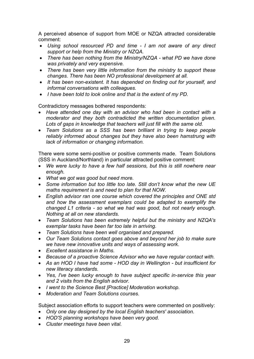A perceived absence of support from MOE or NZQA attracted considerable comment:

- *Using school resourced PD and time I am not aware of any direct support or help from the Ministry or NZQA.*
- *There has been nothing from the Ministry/NZQA what PD we have done was privately and very expensive.*
- *There has been very little information from the ministry to support these changes. There has been NO professional development at all.*
- *It has been non-existent. It has depended on finding out for yourself, and informal conversations with colleagues.*
- *I have been told to look online and that is the extent of my PD.*

Contradictory messages bothered respondents:

- *Have attended one day with an advisor who had been in contact with a moderator and they both contradicted the written documentation given. Lots of gaps in knowledge that teachers will just fill with the same old.*
- *Team Solutions as a SSS has been brilliant in trying to keep people reliably informed about changes but they have also been hamstrung with lack of information or changing information.*

There were some semi-positive or positive comments made. Team Solutions (SSS in Auckland/Northland) in particular attracted positive comment:

- *We were lucky to have a few half sessions, but this is still nowhere near enough.*
- *What we got was good but need more.*
- *Some information but too little too late. Still don't know what the new UE maths requirement is and need to plan for that NOW.*
- *English advisor ran one course which covered the principles and ONE std and how the assessment exemplars could be adapted to exemplify the changed L1 criteria - so what we had was good, but not nearly enough. Nothing at all on new standards.*
- *Team Solutions has been extremely helpful but the ministry and NZQA's exemplar tasks have been far too late in arriving.*
- *Team Solutions have been well organised and prepared.*
- *Our Team Solutions contact goes above and beyond her job to make sure we have new innovative units and ways of assessing work.*
- *Excellent assistance in Maths.*
- *Because of a proactive Science Advisor who we have regular contact with.*
- *As an HOD I have had some HOD day in Wellington but insufficient for new literacy standards.*
- *Yes, I've been lucky enough to have subject specific in-service this year and 2 visits from the English advisor.*
- *I went to the Science Best [Practice] Moderation workshop.*
- *Moderation and Team Solutions courses.*

Subject association efforts to support teachers were commented on positively:

- *Only one day designed by the local English teachers' association.*
- *HOD'S planning workshops have been very good.*
- *Cluster meetings have been vital.*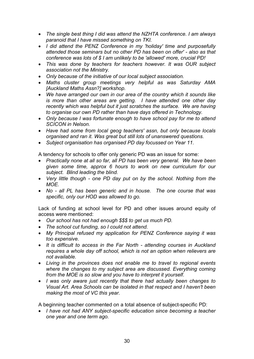- *The single best thing I did was attend the NZHTA conference. I am always paranoid that I have missed something on TKI.*
- *I did attend the PENZ Conference in my 'holiday' time and purposefully attended those seminars but no other PD has been on offer' - also as that conference was lots of \$ I am unlikely to be 'allowed' more, crucial PD!*
- *This was done by teachers for teachers however. It was OUR subject association not the Ministry.*
- *Only because of the initiative of our local subject association.*
- *Maths cluster group meetings very helpful as was Saturday AMA [Auckland Maths Assn?] workshop.*
- *We have arranged our own in our area of the country which it sounds like is more than other areas are getting. I have attended one other day recently which was helpful but it just scratches the surface. We are having to organise our own PD rather than have days offered in Technology.*
- *Only because I was fortunate enough to have school pay for me to attend SCICON in Nelson.*
- *Have had some from local geog teachers' assn, but only because locals organised and ran it. Was great but still lots of unanswered questions.*
- *Subject organisation has organised PD day focussed on Year 11.*

A tendency for schools to offer only generic PD was an issue for some:

- *Practically none at all so far, all PD has been very general. We have been given some time, approx 6 hours to work on new curriculum for our subject. Blind leading the blind.*
- *Very little though one PD day put on by the school. Nothing from the MOE.*
- *No all PL has been generic and in house. The one course that was specific, only our HOD was allowed to go.*

Lack of funding at school level for PD and other issues around equity of access were mentioned:

- *Our school has not had enough \$\$\$ to get us much PD.*
- *The school cut funding, so I could not attend.*
- *My Principal refused my application for PENZ Conference saying it was too expensive.*
- *It is difficult to access in the Far North attending courses in Auckland requires a whole day off school, which is not an option when relievers are not available.*
- *Living in the provinces does not enable me to travel to regional events where the changes to my subject area are discussed. Everything coming from the MOE is so slow and you have to interpret it yourself.*
- *I was only aware just recently that there had actually been changes to Visual Art. Area Schools can be isolated in that respect and I haven't been making the most of VC this year.*

A beginning teacher commented on a total absence of subject-specific PD:

• *I have not had ANY subject-specific education since becoming a teacher one year and one term ago.*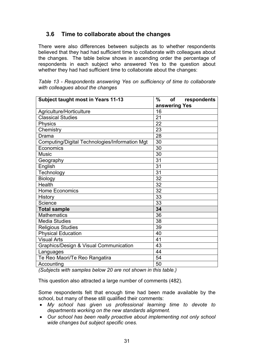# **3.6 Time to collaborate about the changes**

There were also differences between subjects as to whether respondents believed that they had had sufficient time to collaborate with colleagues about the changes. The table below shows in ascending order the percentage of respondents in each subject who answered Yes to the question about whether they had had sufficient time to collaborate about the changes:

| <b>Subject taught most in Years 11-13</b>      | $\%$<br><b>of</b><br>respondents |
|------------------------------------------------|----------------------------------|
|                                                | answering Yes                    |
| Agriculture/Horticulture                       | 16                               |
| <b>Classical Studies</b>                       | 21                               |
| <b>Physics</b>                                 | 22                               |
| Chemistry                                      | 23                               |
| Drama                                          | 28                               |
| Computing/Digital Technologies/Information Mgt | 30                               |
| Economics                                      | 30                               |
| <b>Music</b>                                   | 30                               |
| Geography                                      | 31                               |
| English                                        | 31                               |
| Technology                                     | 31                               |
| <b>Biology</b>                                 | 32                               |
| Health                                         | 32                               |
| <b>Home Economics</b>                          | 32                               |
| History                                        | 33                               |
| Science                                        | 33                               |
| <b>Total sample</b>                            | 34                               |
| <b>Mathematics</b>                             | 36                               |
| <b>Media Studies</b>                           | 38                               |
| <b>Religious Studies</b>                       | 39                               |
| <b>Physical Education</b>                      | 40                               |
| <b>Visual Arts</b>                             | 41                               |
| Graphics/Design & Visual Communication         | 43                               |
| Languages                                      | 44                               |
| Te Reo Maori/Te Reo Rangatira                  | 54                               |
| Accounting                                     | 50                               |

*Table 13 - Respondents answering Yes on sufficiency of time to collaborate with colleagues about the changes* 

*(Subjects with samples below 20 are not shown in this table.)* 

This question also attracted a large number of comments (482).

Some respondents felt that enough time had been made available by the school, but many of these still qualified their comments:

- *My school has given us professional learning time to devote to departments working on the new standards alignment.*
- *Our school has been really proactive about implementing not only school wide changes but subject specific ones.*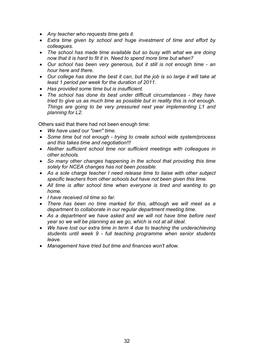- *Any teacher who requests time gets it.*
- *Extra time given by school and huge investment of time and effort by colleagues.*
- *The school has made time available but so busy with what we are doing now that it is hard to fit it in. Need to spend more time but when?*
- *Our school has been very generous, but it still is not enough time an hour here and there.*
- *Our college has done the best it can, but the job is so large it will take at least 1 period per week for the duration of 2011.*
- *Has provided some time but is insufficient.*
- *The school has done its best under difficult circumstances they have tried to give us as much time as possible but in reality this is not enough. Things are going to be very pressured next year implementing L1 and planning for L2.*

Others said that there had not been enough time:

- *We have used our "own" time.*
- *Some time but not enough trying to create school wide system/process and this takes time and negotiation!!!*
- *Neither sufficient school time nor sufficient meetings with colleagues in other schools.*
- *So many other changes happening in the school that providing this time solely for NCEA changes has not been possible.*
- *As a sole charge teacher I need release time to liaise with other subject specific teachers from other schools but have not been given this time.*
- *All time is after school time when everyone is tired and wanting to go home.*
- *I have received nil time so far.*
- *There has been no time marked for this, although we will meet as a department to collaborate in our regular department meeting time.*
- *As a department we have asked and we will not have time before next year so we will be planning as we go, which is not at all ideal.*
- *We have lost our extra time in term 4 due to teaching the underachieving students until week 9 - full teaching programme when senior students leave.*
- *Management have tried but time and finances won't allow.*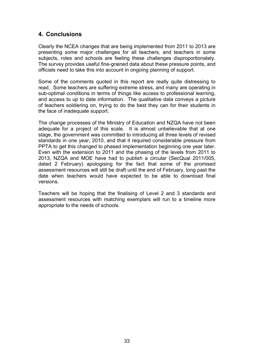# **4. Conclusions**

Clearly the NCEA changes that are being implemented from 2011 to 2013 are presenting some major challenges for all teachers, and teachers in some subjects, roles and schools are feeling these challenges disproportionately. The survey provides useful fine-grained data about these pressure points, and officials need to take this into account in ongoing planning of support.

Some of the comments quoted in this report are really quite distressing to read. Some teachers are suffering extreme stress, and many are operating in sub-optimal conditions in terms of things like access to professional learning, and access to up to date information. The qualitative data conveys a picture of teachers soldiering on, trying to do the best they can for their students in the face of inadequate support.

The change processes of the Ministry of Education and NZQA have not been adequate for a project of this scale. It is almost unbelievable that at one stage, the government was committed to introducing all three levels of revised standards in one year, 2010, and that it required considerable pressure from PPTA to get this changed to phased implementation beginning one year later. Even with the extension to 2011 and the phasing of the levels from 2011 to 2013, NZQA and MOE have had to publish a circular (SecQual 2011/005, dated 2 February) apologising for the fact that some of the promised assessment resources will still be draft until the end of February, long past the date when teachers would have expected to be able to download final versions.

Teachers will be hoping that the finalising of Level 2 and 3 standards and assessment resources with matching exemplars will run to a timeline more appropriate to the needs of schools.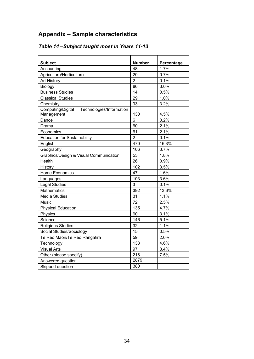# **Appendix – Sample characteristics**

| <b>Subject</b>                                              | <b>Number</b>  | Percentage |
|-------------------------------------------------------------|----------------|------------|
| Accounting                                                  | 48             | 1.7%       |
| Agriculture/Horticulture                                    | 20             | 0.7%       |
| <b>Art History</b>                                          | $\overline{2}$ | 0.1%       |
| Biology                                                     | 86             | 3.0%       |
| <b>Business Studies</b>                                     | 14             | 0.5%       |
| <b>Classical Studies</b>                                    | 29             | 1.0%       |
| Chemistry                                                   | 93             | 3.2%       |
| Computing/Digital<br>Technologies/Information<br>Management | 130            | 4.5%       |
| Dance                                                       | 6              | 0.2%       |
| Drama                                                       | 60             | 2.1%       |
| Economics                                                   | 61             | 2.1%       |
| <b>Education for Sustainability</b>                         | $\overline{2}$ | 0.1%       |
| English                                                     | 470            | 16.3%      |
| Geography                                                   | 106            | 3.7%       |
| Graphics/Design & Visual Communication                      | 53             | 1.8%       |
| Health                                                      | 26             | 0.9%       |
| History                                                     | 102            | 3.5%       |
| <b>Home Economics</b>                                       | 47             | 1.6%       |
| Languages                                                   | 103            | 3.6%       |
| <b>Legal Studies</b>                                        | 3              | 0.1%       |
| <b>Mathematics</b>                                          | 392            | 13.6%      |
| <b>Media Studies</b>                                        | 31             | 1.1%       |
| Music                                                       | 72             | 2.5%       |
| <b>Physical Education</b>                                   | 135            | 4.7%       |
| Physics                                                     | 90             | 3.1%       |
| Science                                                     | 146            | 5.1%       |
| <b>Religious Studies</b>                                    | 32             | 1.1%       |
| Social Studies/Sociology                                    | 15             | 0.5%       |
| Te Reo Maori/Te Reo Rangatira                               | 59             | 2.0%       |
| Technology                                                  | 133            | 4.6%       |
| <b>Visual Arts</b>                                          | 97             | 3.4%       |
| Other (please specify)                                      | 216            | 7.5%       |
| Answered question                                           | 2879           |            |
| Skipped question                                            | 380            |            |

# *Table 14 –Subject taught most in Years 11-13*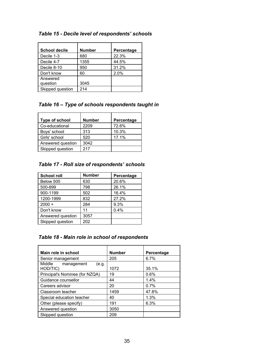| Table 15 - Decile level of respondents' schools |  |  |  |  |  |  |  |
|-------------------------------------------------|--|--|--|--|--|--|--|
|-------------------------------------------------|--|--|--|--|--|--|--|

| <b>School decile</b> | <b>Number</b> | Percentage |
|----------------------|---------------|------------|
| Decile 1-3           | 680           | 22.3%      |
| Decile 4-7           | 1355          | 44.5%      |
| Decile 8-10          | 950           | 31.2%      |
| Don't know           | 60            | 2.0%       |
| Answered             |               |            |
| question             | 3045          |            |
| Skipped question     | 214           |            |

#### *Table 16 – Type of schools respondents taught in*

| Type of school    | <b>Number</b> | Percentage |
|-------------------|---------------|------------|
| Co-educational    | 2209          | 72.6%      |
| Boys' school      | 313           | 10.3%      |
| Girls' school     | 520           | 17.1%      |
| Answered question | 3042          |            |
| Skipped question  | 217           |            |

### *Table 17 - Roll size of respondents' schools*

| <b>School roll</b> | <b>Number</b> | Percentage |
|--------------------|---------------|------------|
| Below 500          | 630           | 20.6%      |
| 500-899            | 798           | 26.1%      |
| 900-1199           | 502           | 16.4%      |
| 1200-1999          | 832           | 27.2%      |
| $2000 +$           | 284           | 9.3%       |
| Don't know         | 11            | 0.4%       |
| Answered question  | 3057          |            |
| Skipped question   | 202           |            |

# *Table 18 - Main role in school of respondents*

| Main role in school                       | <b>Number</b> | Percentage |
|-------------------------------------------|---------------|------------|
| Senior management                         | 205           | 6.7%       |
| Middle<br>management<br>(e.g.<br>HOD/TIC) | 1072          | 35.1%      |
| Principal's Nominee (for NZQA)            | 19            | 0.6%       |
| Guidance counsellor                       | 44            | 1.4%       |
| Careers advisor                           | 20            | 0.7%       |
| Classroom teacher                         | 1459          | 47.8%      |
| Special education teacher                 | 40            | 1.3%       |
| Other (please specify)                    | 191           | 6.3%       |
| Answered question                         | 3050          |            |
| Skipped question                          | 209           |            |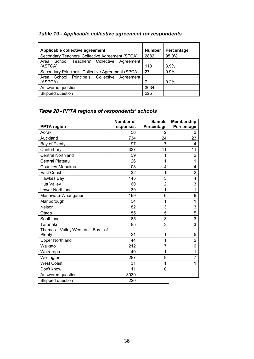# *Table 19 - Applicable collective agreement for respondents*

| Applicable collective agreement                   | <b>Number</b> | Percentage |
|---------------------------------------------------|---------------|------------|
| Secondary Teachers' Collective Agreement (STCA)   | 2882          | 95.0%      |
| Area School Teachers' Collective Agreement        |               |            |
| (ASTCA)                                           | 118           | 3.9%       |
| Secondary Principals' Collective Agreement (SPCA) | 27            | 0.9%       |
| Area School Principals' Collective Agreement      |               |            |
| (ASPCA)                                           |               | 0.2%       |
| Answered question                                 | 3034          |            |
| Skipped question                                  | 225           |            |

# Table 20 - *PPTA regions of respondents' schools*

|                                           | <b>Number of</b> | <b>Sample</b>  | <b>Membership</b> |
|-------------------------------------------|------------------|----------------|-------------------|
| <b>PPTA</b> region                        | responses        | Percentage     | Percentage        |
| Aoraki                                    | 56               | $\overline{2}$ | 3                 |
| Auckland                                  | 734              | 24             | 23                |
| Bay of Plenty                             | 197              | 7              | 4                 |
| Canterbury                                | 337              | 11             | 11                |
| <b>Central Northland</b>                  | 39               | 1              | 2                 |
| <b>Central Plateau</b>                    | 26               | 1              | 1                 |
| Counties-Manukau                          | 108              | 4              | 4                 |
| East Coast                                | 32               | 1              | $\overline{2}$    |
| Hawkes Bay                                | 145              | 5              | 4                 |
| <b>Hutt Valley</b>                        | 60               | $\overline{2}$ | 3                 |
| Lower Northland                           | 39               | 1              | 1                 |
| Manawatu-Whanganui                        | 169              | 6              | 6                 |
| Marlborough                               | 34               | 1              | 1                 |
| Nelson                                    | 82               | 3              | 3                 |
| Otago                                     | 155              | 5              | 5                 |
| Southland                                 | 85               | 3              | 3                 |
| Taranaki                                  | 85               | 3              | 3                 |
| <b>Thames</b><br>Valley/Western Bay<br>of |                  |                |                   |
| Plenty                                    | 31               | 1              | 5                 |
| <b>Upper Northland</b>                    | 44               | 1              | $\overline{2}$    |
| Waikato                                   | 212              | 7              | 6                 |
| Wairarapa                                 | 40               | 1              | 1                 |
| Wellington                                | 287              | 9              | 7                 |
| <b>West Coast</b>                         | 31               | 1              | 1                 |
| Don't know                                | 11               | 0              |                   |
| Answered question                         | 3039             |                |                   |
| Skipped question                          | 220              |                |                   |